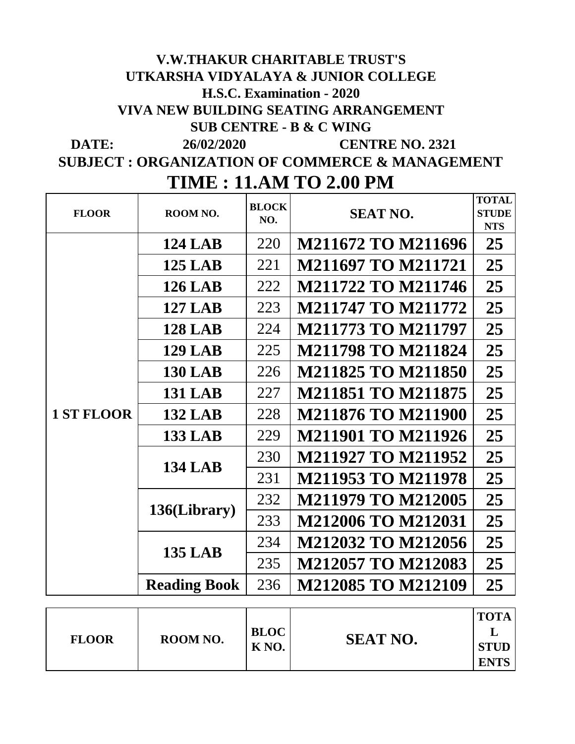## **DATE:** 26/02/2020 **CENTRE NO. 2321 V.W.THAKUR CHARITABLE TRUST'S UTKARSHA VIDYALAYA & JUNIOR COLLEGE H.S.C. Examination - 2020 VIVA NEW BUILDING SEATING ARRANGEMENT SUB CENTRE - B & C WING 26/02/2020**

**SUBJECT : ORGANIZATION OF COMMERCE & MANAGEMENT TIME : 11.AM TO 2.00 PM**

| <b>FLOOR</b>      | ROOM NO.            | <b>BLOCK</b><br>NO. | <b>SEAT NO.</b>           | <b>TOTAL</b><br><b>STUDE</b><br><b>NTS</b> |
|-------------------|---------------------|---------------------|---------------------------|--------------------------------------------|
|                   | <b>124 LAB</b>      | 220                 | M211672 TO M211696        | 25                                         |
|                   | <b>125 LAB</b>      | 221                 | <b>M211697 TO M211721</b> | 25                                         |
|                   | <b>126 LAB</b>      | 222                 | <b>M211722 TO M211746</b> | 25                                         |
|                   | <b>127 LAB</b>      | 223                 | <b>M211747 TO M211772</b> | 25                                         |
|                   | <b>128 LAB</b>      | 224                 | <b>M211773 TO M211797</b> | 25                                         |
|                   | <b>129 LAB</b>      | 225                 | <b>M211798 TO M211824</b> | 25                                         |
|                   | <b>130 LAB</b>      | 226                 | <b>M211825 TO M211850</b> | 25                                         |
|                   | <b>131 LAB</b>      | 227                 | <b>M211851 TO M211875</b> | 25                                         |
| <b>1 ST FLOOR</b> | <b>132 LAB</b>      | 228                 | <b>M211876 TO M211900</b> | 25                                         |
|                   | <b>133 LAB</b>      | 229                 | <b>M211901 TO M211926</b> | 25                                         |
|                   | <b>134 LAB</b>      | 230                 | <b>M211927 TO M211952</b> | 25                                         |
|                   |                     | 231                 | <b>M211953 TO M211978</b> | 25                                         |
|                   |                     | 232                 | <b>M211979 TO M212005</b> | 25                                         |
|                   | 136(Library)        | 233                 | <b>M212006 TO M212031</b> | 25                                         |
|                   | <b>135 LAB</b>      | 234                 | <b>M212032 TO M212056</b> | 25                                         |
|                   |                     | 235                 | <b>M212057 TO M212083</b> | 25                                         |
|                   | <b>Reading Book</b> | 236                 | <b>M212085 TO M212109</b> | 25                                         |
|                   |                     |                     |                           |                                            |
| <b>FLOOR</b>      | ROOM NO.            | <b>BLOC</b>         | <b>SEAT NO.</b>           | <b>TOTA</b><br>L                           |
|                   |                     | K <sub>NO</sub> .   |                           | <b>STUD</b><br><b>ENTS</b>                 |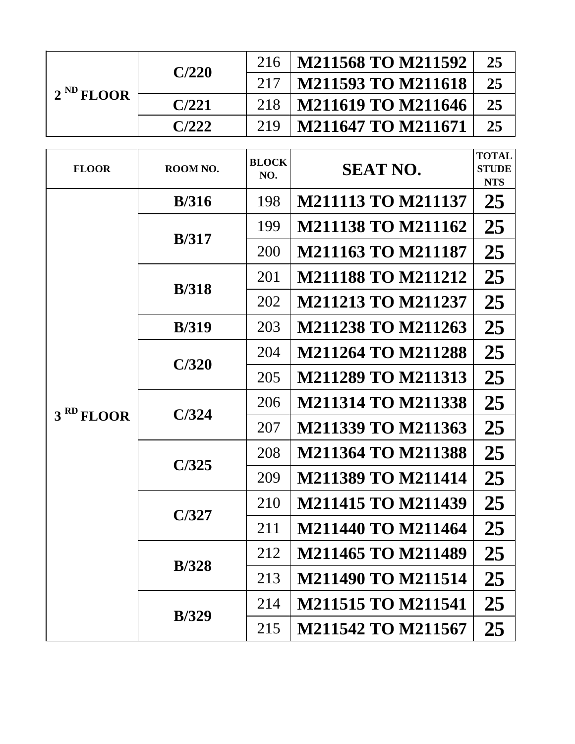| $2^{ND}$ FLOOR<br><b>FLOOR</b><br>3 <sup>RD</sup> FLOOR |          | 216                 | <b>M211568 TO M211592</b> | 25                                         |
|---------------------------------------------------------|----------|---------------------|---------------------------|--------------------------------------------|
|                                                         | C/220    | 217                 | <b>M211593 TO M211618</b> | 25                                         |
|                                                         | C/221    | 218                 | <b>M211619 TO M211646</b> | 25                                         |
|                                                         | C/222    | 219                 | <b>M211647 TO M211671</b> | 25                                         |
|                                                         | ROOM NO. | <b>BLOCK</b><br>NO. | <b>SEAT NO.</b>           | <b>TOTAL</b><br><b>STUDE</b><br><b>NTS</b> |
|                                                         | B/316    | 198                 | <b>M211113 TO M211137</b> | 25                                         |
|                                                         | B/317    | 199                 | <b>M211138 TO M211162</b> | 25                                         |
|                                                         |          | 200                 | <b>M211163 TO M211187</b> | 25                                         |
|                                                         | B/318    | 201                 | <b>M211188 TO M211212</b> | 25                                         |
|                                                         |          | 202                 | <b>M211213 TO M211237</b> | 25                                         |
|                                                         | B/319    | 203                 | <b>M211238 TO M211263</b> | 25                                         |
|                                                         | C/320    | 204                 | <b>M211264 TO M211288</b> | 25                                         |
|                                                         |          | 205                 | <b>M211289 TO M211313</b> | 25                                         |
|                                                         | C/324    | 206                 | <b>M211314 TO M211338</b> | 25                                         |
|                                                         |          | 207                 | M211339 TO M211363        | 25                                         |
|                                                         | C/325    | 208                 | <b>M211364 TO M211388</b> | 25                                         |
|                                                         |          | 209                 | <b>M211389 TO M211414</b> | 25                                         |
|                                                         | C/327    | 210                 | <b>M211415 TO M211439</b> | 25                                         |
|                                                         |          | 211                 | <b>M211440 TO M211464</b> | 25                                         |
|                                                         | B/328    | 212                 | <b>M211465 TO M211489</b> | 25                                         |
|                                                         |          | 213                 | <b>M211490 TO M211514</b> | 25                                         |
|                                                         | B/329    | 214                 | <b>M211515 TO M211541</b> | 25                                         |
|                                                         |          | 215                 | <b>M211542 TO M211567</b> | 25                                         |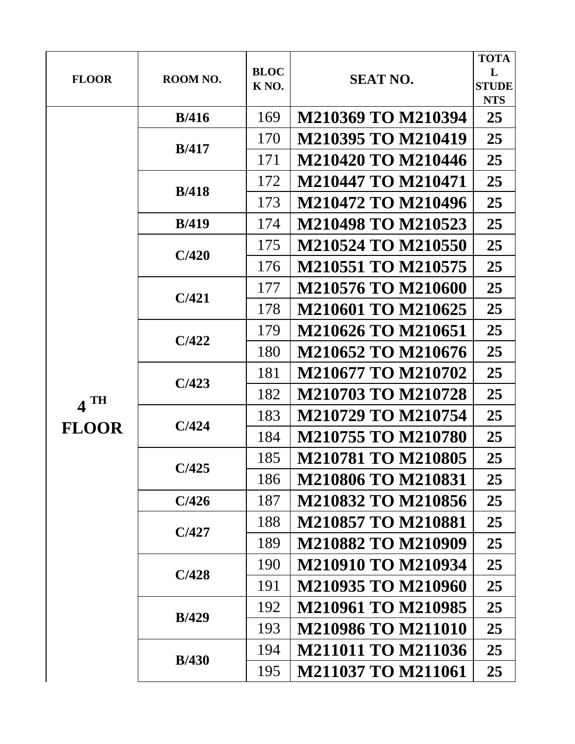|                   |               |                   |                           | <b>TOTA</b>                |
|-------------------|---------------|-------------------|---------------------------|----------------------------|
| <b>FLOOR</b>      | ROOM NO.      | <b>BLOC</b>       | <b>SEAT NO.</b>           | L                          |
|                   |               | K <sub>NO</sub> . |                           | <b>STUDE</b><br><b>NTS</b> |
|                   | B/416         | 169               | <b>M210369 TO M210394</b> | 25                         |
|                   |               |                   |                           |                            |
|                   | B/417         | 170               | <b>M210395 TO M210419</b> | 25                         |
|                   |               | 171               | <b>M210420 TO M210446</b> | 25                         |
|                   | B/418         | 172               | <b>M210447 TO M210471</b> | 25                         |
|                   |               | 173               | <b>M210472 TO M210496</b> | 25                         |
|                   | B/419         | 174               | <b>M210498 TO M210523</b> | 25                         |
|                   | C/420         | 175               | <b>M210524 TO M210550</b> | 25                         |
|                   |               | 176               | <b>M210551 TO M210575</b> | 25                         |
|                   |               | 177               | M210576 TO M210600        | 25                         |
|                   | C/421         | 178               | <b>M210601 TO M210625</b> | 25                         |
|                   |               | 179               | <b>M210626 TO M210651</b> | 25                         |
|                   | C/422         | 180               | <b>M210652 TO M210676</b> | 25                         |
|                   |               | 181               | M210677 TO M210702        | 25                         |
| $4$ <sup>TH</sup> | C/423         | 182               | <b>M210703 TO M210728</b> | 25                         |
|                   |               | 183               | <b>M210729 TO M210754</b> | 25                         |
| <b>FLOOR</b>      | C/424         | 184               | <b>M210755 TO M210780</b> | 25                         |
|                   |               | 185               | <b>M210781 TO M210805</b> | 25                         |
|                   | C/425         | 186               | M210806 TO M210831        | 25                         |
|                   | C/426         | 187               | <b>M210832 TO M210856</b> | 25                         |
|                   |               | 188               | <b>M210857 TO M210881</b> | 25                         |
|                   | C/427         | 189               | <b>M210882 TO M210909</b> | 25                         |
|                   |               | 190               | <b>M210910 TO M210934</b> | 25                         |
|                   | C/428         | 191               | M210935 TO M210960        | 25                         |
|                   | <b>B</b> /429 | 192               | <b>M210961 TO M210985</b> | 25                         |
|                   |               | 193               | <b>M210986 TO M211010</b> | 25                         |
|                   | B/430         | 194               | <b>M211011 TO M211036</b> | 25                         |
|                   |               | 195               | <b>M211037 TO M211061</b> | 25                         |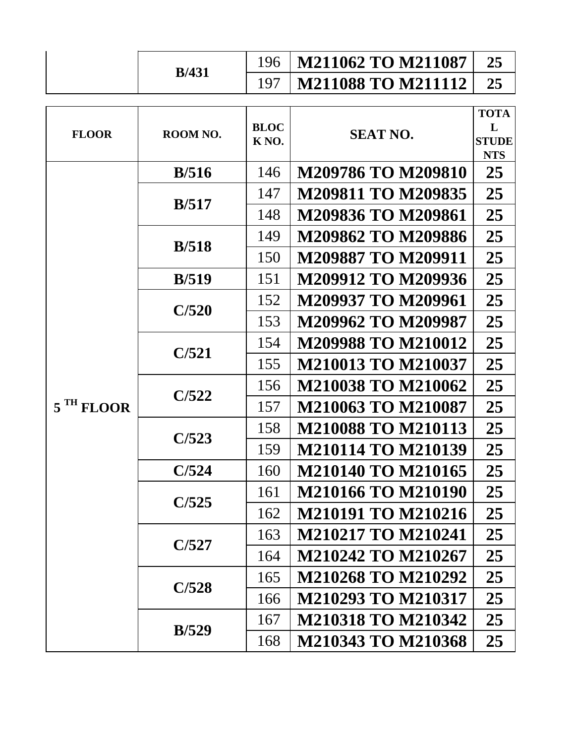|                       |               | 196                              | <b>M211062 TO M211087</b> | 25                                             |
|-----------------------|---------------|----------------------------------|---------------------------|------------------------------------------------|
|                       | <b>B</b> /431 | 197                              | <b>M211088 TO M211112</b> | 25                                             |
| <b>FLOOR</b>          | ROOM NO.      | <b>BLOC</b><br>K <sub>NO</sub> . | <b>SEAT NO.</b>           | <b>TOTA</b><br>L<br><b>STUDE</b><br><b>NTS</b> |
|                       | B/516         | 146                              | <b>M209786 TO M209810</b> | 25                                             |
|                       |               | 147                              | <b>M209811 TO M209835</b> | 25                                             |
|                       | B/517         | 148                              | M209836 TO M209861        | 25                                             |
|                       |               | 149                              | <b>M209862 TO M209886</b> | 25                                             |
|                       | B/518         | 150                              | <b>M209887 TO M209911</b> | 25                                             |
|                       | B/519         | 151                              | M209912 TO M209936        | 25                                             |
|                       | C/520         | 152                              | M209937 TO M209961        | 25                                             |
|                       |               | 153                              | M209962 TO M209987        | 25                                             |
|                       |               | 154                              | <b>M209988 TO M210012</b> | 25                                             |
|                       | C/521         | 155                              | <b>M210013 TO M210037</b> | 25                                             |
|                       | C/522         | 156                              | <b>M210038 TO M210062</b> | 25                                             |
| 5 <sup>TH</sup> FLOOR |               | 157                              | <b>M210063 TO M210087</b> | 25                                             |
|                       | C/523         | 158                              | <b>M210088 TO M210113</b> | 25                                             |
|                       |               | 159                              | <b>M210114 TO M210139</b> | 25                                             |
|                       | C/524         | 160                              | M210140 TO M210165        | 25                                             |
|                       | C/525         | 161                              | <b>M210166 TO M210190</b> | 25                                             |
|                       |               | 162                              | <b>M210191 TO M210216</b> | 25                                             |
|                       | C/527         | 163                              | <b>M210217 TO M210241</b> | 25                                             |
|                       |               | 164                              | M210242 TO M210267        | 25                                             |
|                       | C/528         | 165                              | <b>M210268 TO M210292</b> | 25                                             |
|                       |               | 166                              | M210293 TO M210317        | 25                                             |
|                       | B/529         | 167                              | <b>M210318 TO M210342</b> | 25                                             |
|                       |               | 168                              | <b>M210343 TO M210368</b> | 25                                             |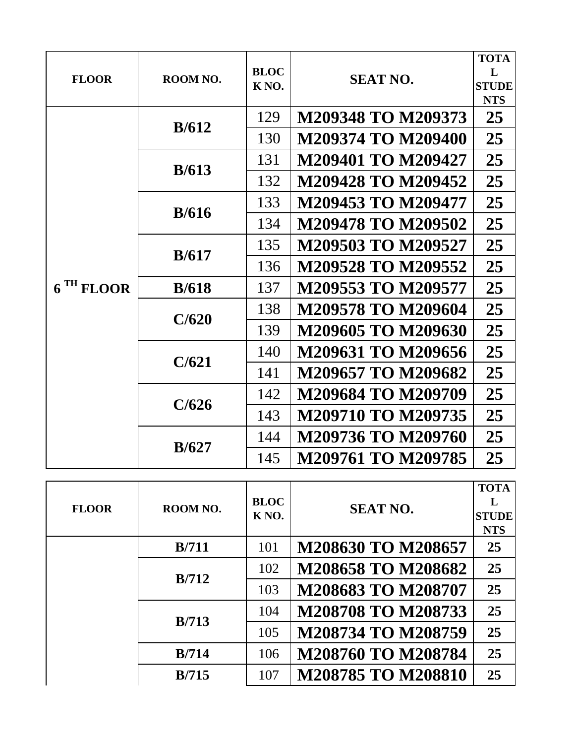| <b>FLOOR</b>          | ROOM NO. | <b>BLOC</b><br>K <sub>NO</sub> . | <b>SEAT NO.</b>           | <b>TOTA</b><br>L<br><b>STUDE</b><br><b>NTS</b> |
|-----------------------|----------|----------------------------------|---------------------------|------------------------------------------------|
|                       | B/612    | 129                              | M209348 TO M209373        | 25                                             |
|                       |          | 130                              | M209374 TO M209400        | 25                                             |
|                       | B/613    | 131                              | M209401 TO M209427        | 25                                             |
|                       |          | 132                              | M209428 TO M209452        | 25                                             |
|                       | B/616    | 133                              | M209453 TO M209477        | 25                                             |
|                       |          | 134                              | <b>M209478 TO M209502</b> | 25                                             |
|                       | B/617    | 135                              | M209503 TO M209527        | 25                                             |
|                       |          | 136                              | M209528 TO M209552        | 25                                             |
| 6 <sup>TH</sup> FLOOR | B/618    | 137                              | M209553 TO M209577        | 25                                             |
|                       | C/620    | 138                              | M209578 TO M209604        | 25                                             |
|                       |          | 139                              | M209605 TO M209630        | 25                                             |
|                       | C/621    | 140                              | M209631 TO M209656        | 25                                             |
|                       |          | 141                              | M209657 TO M209682        | 25                                             |
|                       |          | 142                              | M209684 TO M209709        | 25                                             |
|                       | C/626    | 143                              | <b>M209710 TO M209735</b> | 25                                             |
|                       |          | 144                              | M209736 TO M209760        | 25                                             |
|                       | B/627    | 145                              | <b>M209761 TO M209785</b> | 25                                             |

| <b>FLOOR</b> | ROOM NO.                           | <b>BLOC</b><br>K <sub>NO</sub> . | <b>SEAT NO.</b>           | <b>TOTA</b><br>L<br><b>STUDE</b><br><b>NTS</b> |
|--------------|------------------------------------|----------------------------------|---------------------------|------------------------------------------------|
|              | B/711                              | 101                              | M208630 TO M208657        | 25                                             |
|              | B/712                              | 102                              | <b>M208658 TO M208682</b> | 25                                             |
|              | 103<br>104<br><b>B</b> /713<br>105 |                                  | M208683 TO M208707        | 25                                             |
|              |                                    | <b>M208708 TO M208733</b>        | 25                        |                                                |
|              |                                    |                                  | M208734 TO M208759        | 25                                             |
|              | B/714                              | 106                              | <b>M208760 TO M208784</b> | 25                                             |
|              | <b>B</b> /715                      | 107                              | M208785 TO M208810        | 25                                             |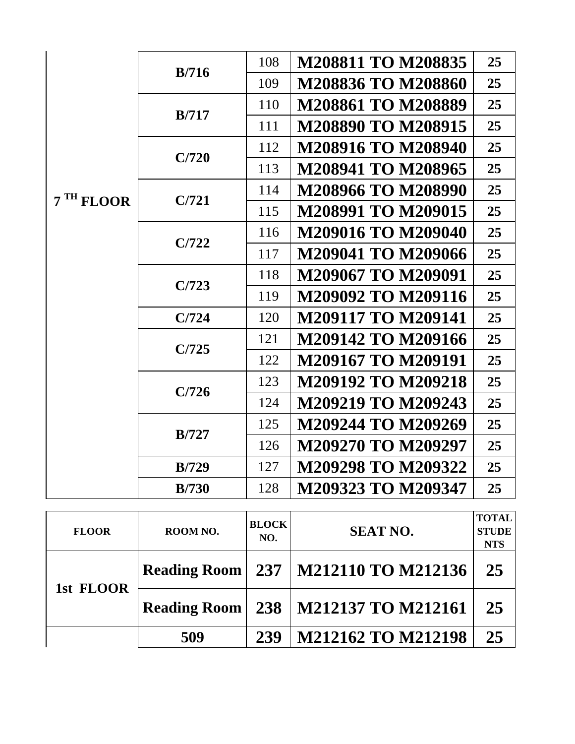|                       |               | 108 | M208811 TO M208835        | 25 |
|-----------------------|---------------|-----|---------------------------|----|
|                       | <b>B</b> /716 | 109 | M208836 TO M208860        | 25 |
|                       |               | 110 | M208861 TO M208889        | 25 |
|                       | B/717         | 111 | M208890 TO M208915        | 25 |
|                       |               | 112 | M208916 TO M208940        | 25 |
|                       | C/720         | 113 | M208941 TO M208965        | 25 |
|                       |               | 114 | M208966 TO M208990        | 25 |
| 7 <sup>TH</sup> FLOOR | C/721         | 115 | M208991 TO M209015        | 25 |
|                       |               | 116 | M209016 TO M209040        | 25 |
|                       | C/722         | 117 | M209041 TO M209066        | 25 |
|                       |               | 118 | M209067 TO M209091        | 25 |
|                       | C/723         | 119 | M209092 TO M209116        | 25 |
|                       | C/724         | 120 | <b>M209117 TO M209141</b> | 25 |
|                       | C/725         | 121 | M209142 TO M209166        | 25 |
|                       |               | 122 | M209167 TO M209191        | 25 |
|                       | C/726         | 123 | <b>M209192 TO M209218</b> | 25 |
|                       |               | 124 | <b>M209219 TO M209243</b> | 25 |
|                       | <b>B</b> /727 | 125 | M209244 TO M209269        | 25 |
|                       |               | 126 | <b>M209270 TO M209297</b> | 25 |
|                       | <b>B</b> /729 | 127 | M209298 TO M209322        | 25 |
|                       | <b>B</b> /730 | 128 | M209323 TO M209347        | 25 |

| <b>FLOOR</b> | ROOM NO.            | <b>BLOCK</b><br>NO. | <b>SEAT NO.</b>           | <b>TOTAL</b><br><b>STUDE</b><br><b>NTS</b> |
|--------------|---------------------|---------------------|---------------------------|--------------------------------------------|
| 1st FLOOR    | <b>Reading Room</b> |                     | 237   M212110 TO M212136  | 25                                         |
|              | <b>Reading Room</b> |                     | 238   M212137 TO M212161  | 25                                         |
|              | 509                 | 239                 | <b>M212162 TO M212198</b> | 25                                         |